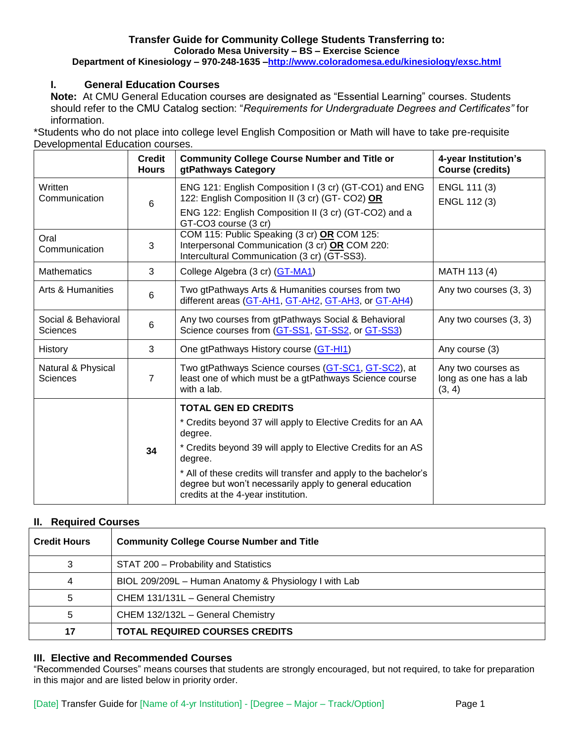## **Transfer Guide for Community College Students Transferring to: Colorado Mesa University – BS – Exercise Science**

**Department of Kinesiology – 970-248-1635 [–http://www.coloradomesa.edu/kinesiology/exsc.html](http://www.coloradomesa.edu/kinesiology/exsc.html)**

# **I. General Education Courses**

**Note:** At CMU General Education courses are designated as "Essential Learning" courses. Students should refer to the CMU Catalog section: "*Requirements for Undergraduate Degrees and Certificates"* for information.

\*Students who do not place into college level English Composition or Math will have to take pre-requisite Developmental Education courses.

|                                        | <b>Credit</b><br><b>Hours</b> | <b>Community College Course Number and Title or</b><br>gtPathways Category                                                                                                                 | 4-year Institution's<br><b>Course (credits)</b>       |
|----------------------------------------|-------------------------------|--------------------------------------------------------------------------------------------------------------------------------------------------------------------------------------------|-------------------------------------------------------|
| Written<br>Communication               | $6\phantom{1}$                | ENG 121: English Composition I (3 cr) (GT-CO1) and ENG<br>122: English Composition II (3 cr) (GT- CO2) OR<br>ENG 122: English Composition II (3 cr) (GT-CO2) and a<br>GT-CO3 course (3 cr) | ENGL 111 (3)<br>ENGL 112 (3)                          |
| Oral<br>Communication                  | 3                             | COM 115: Public Speaking (3 cr) OR COM 125:<br>Interpersonal Communication (3 cr) OR COM 220:<br>Intercultural Communication (3 cr) (GT-SS3).                                              |                                                       |
| <b>Mathematics</b>                     | 3                             | College Algebra (3 cr) (GT-MA1)                                                                                                                                                            | MATH 113 (4)                                          |
| Arts & Humanities                      | $6\phantom{1}$                | Two gtPathways Arts & Humanities courses from two<br>different areas (GT-AH1, GT-AH2, GT-AH3, or GT-AH4)                                                                                   | Any two courses (3, 3)                                |
| Social & Behavioral<br><b>Sciences</b> | $\,6$                         | Any two courses from gtPathways Social & Behavioral<br>Science courses from (GT-SS1, GT-SS2, or GT-SS3)                                                                                    | Any two courses (3, 3)                                |
| History                                | 3                             | One gtPathways History course (GT-HI1)                                                                                                                                                     | Any course (3)                                        |
| Natural & Physical<br><b>Sciences</b>  | $\overline{7}$                | Two gtPathways Science courses (GT-SC1, GT-SC2), at<br>least one of which must be a gtPathways Science course<br>with a lab.                                                               | Any two courses as<br>long as one has a lab<br>(3, 4) |
|                                        |                               | <b>TOTAL GEN ED CREDITS</b>                                                                                                                                                                |                                                       |
|                                        | 34                            | * Credits beyond 37 will apply to Elective Credits for an AA<br>degree.                                                                                                                    |                                                       |
|                                        |                               | * Credits beyond 39 will apply to Elective Credits for an AS<br>degree.                                                                                                                    |                                                       |
|                                        |                               | * All of these credits will transfer and apply to the bachelor's<br>degree but won't necessarily apply to general education<br>credits at the 4-year institution.                          |                                                       |

## **II. Required Courses**

| <b>Credit Hours</b> | <b>Community College Course Number and Title</b>      |  |  |
|---------------------|-------------------------------------------------------|--|--|
| 3                   | STAT 200 - Probability and Statistics                 |  |  |
| 4                   | BIOL 209/209L - Human Anatomy & Physiology I with Lab |  |  |
| 5                   | CHEM 131/131L - General Chemistry                     |  |  |
| 5                   | CHEM 132/132L - General Chemistry                     |  |  |
| 17                  | <b>TOTAL REQUIRED COURSES CREDITS</b>                 |  |  |

### **III. Elective and Recommended Courses**

"Recommended Courses" means courses that students are strongly encouraged, but not required, to take for preparation in this major and are listed below in priority order.